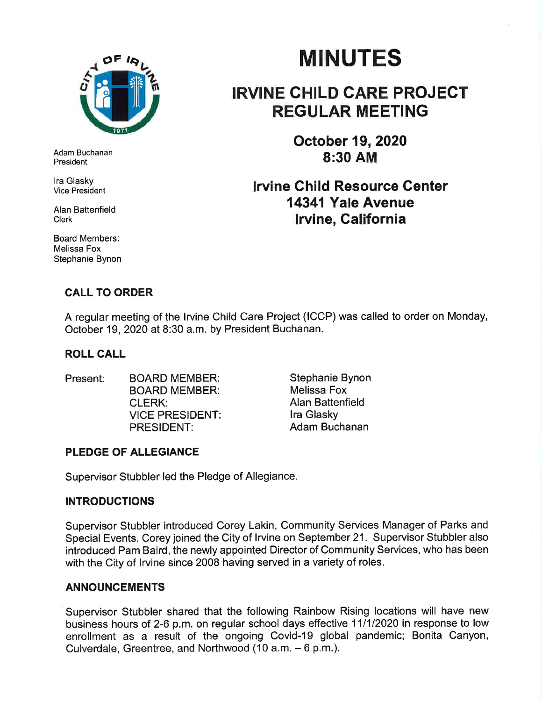

Adam Buchanan President

lra Glasky Vice President

Alan Battenfield Clerk

Board Members: Melissa Fox Stephanie Bynon

# MINUTES

## IRVINE CHILD CARE PROJECT REGULAR MEETING

October 19,2020 8:30 AM

## lrvine Child Resource Center 14341 Yale Avenue lrvine, Galifornia

### CALL TO ORDER

A regular meeting of the lrvine Child Care Project (ICCP) was called to order on Monday, October 19,2020 at 8:30 a.m. by President Buchanan.

#### ROLL CALL

- Present: BOARD MEMBER: BOARD MEMBER: CLERK: VICE PRESIDENT: PRESIDENT:
- Stephanie Bynon Melissa Fox Alan Battenfield lra Glasky Adam Buchanan

### PLEDGE OF ALLEGIANCE

Supervisor Stubbler led the Pledge of Allegiance.

#### INTRODUCTIONS

Supervisor Stubbler introduced Corey Lakin, Community Services Manager of Parks and Special Events. Corey joined the City of lrvine on September 21. Supervisor Stubbler also introduced Pam Baird, the newly appointed Director of Community Services, who has been with the City of lrvine since 2008 having served in a variety of roles.

#### ANNOUNCEMENTS

Supervisor Stubbler shared that the following Rainbow Rising locations will have new business hours of 2-6 p.m. on regular school days effective 11/1/2020 in response to low enrollment as a result of the ongoing Covid-19 global pandemic; Bonita Canyon, Culverdale, Greentree, and Northwood (10 a.m. - 6 p.m.).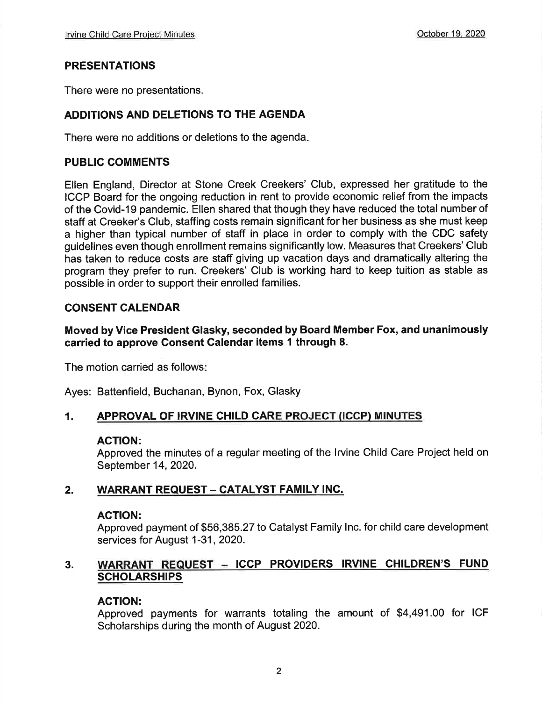#### PRESENTATIONS

There were no presentations.

#### ADDITIONS AND DELETIONS TO THE AGENDA

There were no additions or deletions to the agenda

#### PUBLIC COMMENTS

Ellen England, Director at Stone Creek Creekers' Club, expressed her gratitude to the ICCP Board for the ongoing reduction in rent to provide economic relief from the impacts of the Covid-19 pandemic. Ellen shared that though they have reduced the total number of staff at Creeker's Club, staffing costs remain significant for her business as she must keep a higher than typical number of staff in place in order to comply with the CDC safety guidelines even though enrollment remains significantly low. Measures that Creekers' Club has taken to reduce costs are staff giving up vacation days and dramatically altering the program they prefer to run. Creekers' Club is working hard to keep tuition as stable as possible in order to support their enrolled families.

#### CONSENT CALENDAR

#### Moved by Vice President Glasky, seconded by Board Member Fox, and unanimously carried to approve Gonsent Galendar items I through 8.

The motion carried as follows

Ayes: Battenfield, Buchanan, Bynon, Fox, Glasky

#### 1. APPROVAL OF IRVINE CHILD CARE PROJECT (ICCP) MINUTES

#### ACTION:

Approved the minutes of a regular meeting of the lrvine Child Care Project held on September 14,2020.

#### 2. WARRANT REQUEST - CATALYST FAMILY INC.

#### AGTION:

Approved payment of \$56,385.27 to Catalyst Family lnc. for child care development services for August 1-31, 2020.

#### 3. WARRANT REQUEST - ICCP PROVIDERS IRVINE CHILDREN'S FUND **SCHOLARSHIPS**

#### ACTION:

Approved payments for warrants totaling the amount of \$4,491.00 for ICF Scholarships during the month of August 2020.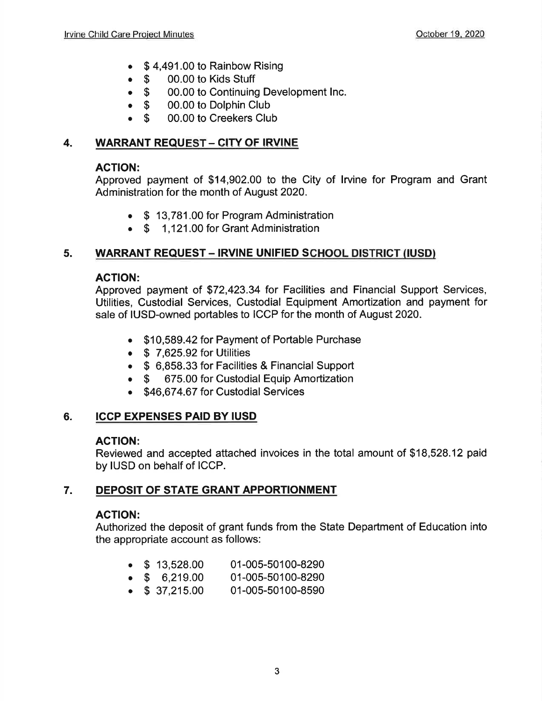- $\bullet$  \$4,491.00 to Rainbow Rising
- **6 \$ 00.00 to Kids Stuff**<br>**6 \$ 00.00 to Continuing**
- \$ 00.00 to Continuing Development Inc.<br>• \$ 00.00 to Dolphin Club
- **S** 00.00 to Dolphin Club<br>**S** 00.00 to Creekers Clu
- 00.00 to Creekers Club

#### 4. WARRANT REQUEST - CITY OF IRVINE

#### AGTION:

Approved payment of \$14,902.00 to the City of lrvine for Program and Grant Administration for the month of August 2020.

- . \$ 13,781.00 for Program Administration
- \$ 1,121.00 for Grant Administration

#### 5. WARRANT REQUEST - IRVINE UNIFIED SCHOOL DISTRICT (IUSD)

#### AGTION:

Approved payment of \$72,423.34 for Facilities and Financial Support Services, Utilities, Custodial Services, Custodial Equipment Amortization and payment for sale of IUSD-owned portables to ICCP for the month of August 2020.

- . \$10,589.42 for Payment of Portable Purchase
- $\bullet$  \$ 7,625.92 for Utilities
- o \$ 6,858.33 for Facilities & Financial Support
- \$ 675.00 for Custodial Equip Amortization
- \$46,674,67 for Custodial Services

#### 6. ICCP EXPENSES PAID BY IUSD

#### ACTION:

Reviewed and accepted attached invoices in the total amount of \$18,528.12 paid by IUSD on behalf of ICCP.

#### 7. DEPOSIT OF STATE GRANT APPORTIONMENT

#### ACTION:

Authorized the deposit of grant funds from the State Department of Education into the appropriate account as follows:

- o \$ 13,528.00 01-005-50100-8290
- $\bullet$  \$ 6,219.00 01-005-50100-8290
- $\bullet$  \$ 37,215.00 01-005-50100-8590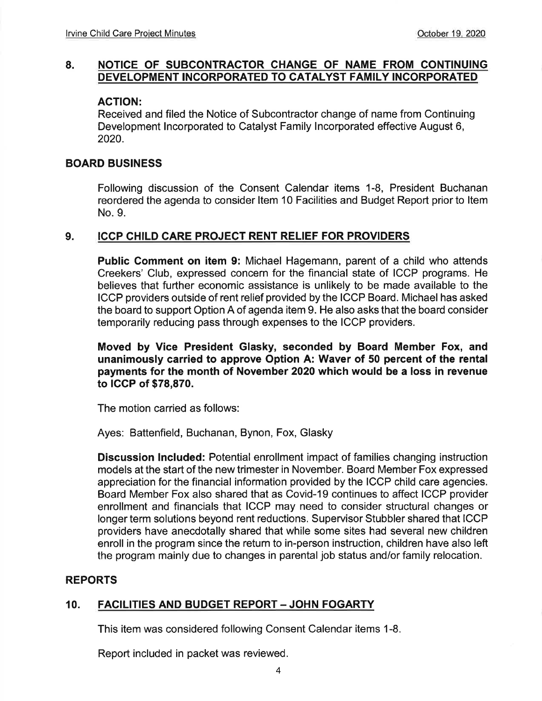#### 8. NOTICE OF SUBCONTRACTOR CHANGE OF NAME FROM CONTINUING DEVELOPMENT INCORPORATED TO CATALYST FAMILY INCORPORATED

#### AGTION:

Received and filed the Notice of Subcontractor change of name from Continuing Development lncorporated to Catalyst Family lncorporated effective August 6, 2020.

#### BOARD BUSINESS

Following discussion of the Consent Calendar items 1-8, President Buchanan reordered the agenda to consider ltem 10 Facilities and Budget Report prior to ltem No.9.

#### 9. ICCP CHILD CARE PROJECT RENT RELIEF FOR PROVIDERS

Public Comment on item 9: Michael Hagemann, parent of a child who attends Creekers' Club, expressed concern for the financial state of ICCP programs. He believes that further economic assistance is unlikely to be made available to the ICCP providers outside of rent relief provided by the ICCP Board. Michael has asked the board to support Option A of agenda item 9. He also asks that the board consider temporarily reducing pass through expenses to the ICCP providers.

Moved by Vice President Glasky, seconded by Board Member Fox, and unanimously carried to approve Option A: Waver of 50 percent of the rental payments for the month of November 2020 which would be a loss in revenue to ICCP of \$78,870.

The motion carried as follows:

Ayes: Battenfield, Buchanan, Bynon, Fox, Glasky

**Discussion Included:** Potential enrollment impact of families changing instruction models at the start of the new trimester in November. Board Member Fox expressed appreciation for the financial information provided by the ICCP child care agencies. Board Member Fox also shared that as Covid-19 continues to affect ICCP provider enrollment and financials that ICCP may need to consider structural changes or longer term solutions beyond rent reductions. Supervisor Stubbler shared that ICCP providers have anecdotally shared that while some sites had several new children enroll in the program since the return to in-person instruction, children have also left the program mainly due to changes in parental job status and/or family relocation.

#### REPORTS

#### FACILITIES AND BUDGET REPORT - JOHN FOGARTY 10.

This item was considered following Consent Calendar items 1-8.

Report included in packet was reviewed.